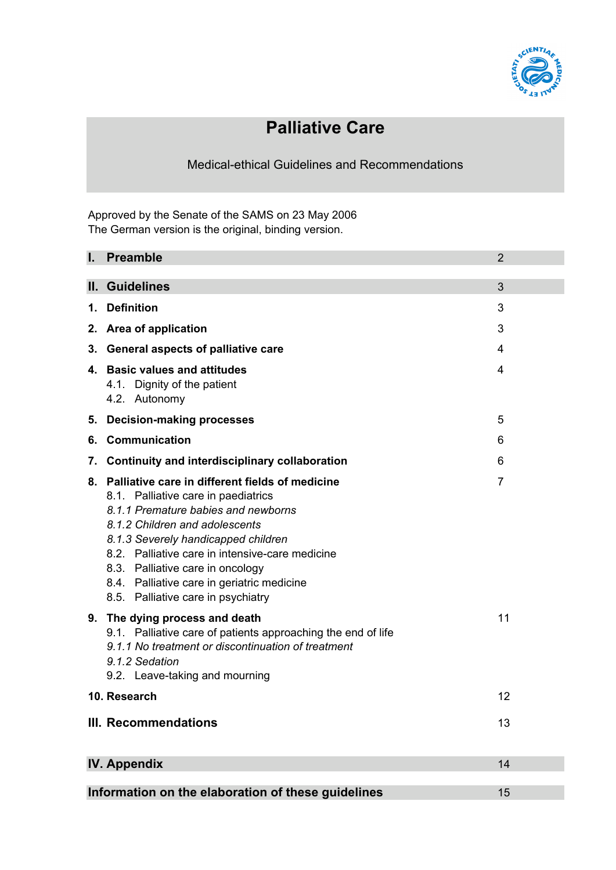

# **Palliative Care**

Medical-ethical Guidelines and Recommendations

Approved by the Senate of the SAMS on 23 May 2006 The German version is the original, binding version.

| I.                                                       | <b>Preamble</b>                                                                                                                                                                                                                                                                                                                                                                      | $\overline{2}$ |  |
|----------------------------------------------------------|--------------------------------------------------------------------------------------------------------------------------------------------------------------------------------------------------------------------------------------------------------------------------------------------------------------------------------------------------------------------------------------|----------------|--|
|                                                          | II. Guidelines                                                                                                                                                                                                                                                                                                                                                                       | 3              |  |
| 1.                                                       | <b>Definition</b>                                                                                                                                                                                                                                                                                                                                                                    | 3              |  |
| 2.                                                       | Area of application                                                                                                                                                                                                                                                                                                                                                                  | 3              |  |
| 3.                                                       | <b>General aspects of palliative care</b>                                                                                                                                                                                                                                                                                                                                            | 4              |  |
|                                                          | 4. Basic values and attitudes<br>4.1. Dignity of the patient<br>4.2. Autonomy                                                                                                                                                                                                                                                                                                        | 4              |  |
| 5.                                                       | <b>Decision-making processes</b>                                                                                                                                                                                                                                                                                                                                                     | 5              |  |
| 6.                                                       | <b>Communication</b>                                                                                                                                                                                                                                                                                                                                                                 | 6              |  |
| 7.                                                       | <b>Continuity and interdisciplinary collaboration</b>                                                                                                                                                                                                                                                                                                                                | 6              |  |
|                                                          | 8. Palliative care in different fields of medicine<br>8.1. Palliative care in paediatrics<br>8.1.1 Premature babies and newborns<br>8.1.2 Children and adolescents<br>8.1.3 Severely handicapped children<br>8.2. Palliative care in intensive-care medicine<br>8.3. Palliative care in oncology<br>8.4. Palliative care in geriatric medicine<br>8.5. Palliative care in psychiatry | 7              |  |
|                                                          | 9. The dying process and death<br>9.1. Palliative care of patients approaching the end of life<br>9.1.1 No treatment or discontinuation of treatment<br>9.1.2 Sedation<br>9.2. Leave-taking and mourning                                                                                                                                                                             | 11             |  |
|                                                          | 10. Research                                                                                                                                                                                                                                                                                                                                                                         | 12             |  |
| <b>III. Recommendations</b><br>13                        |                                                                                                                                                                                                                                                                                                                                                                                      |                |  |
| <b>IV. Appendix</b><br>14                                |                                                                                                                                                                                                                                                                                                                                                                                      |                |  |
| Information on the elaboration of these guidelines<br>15 |                                                                                                                                                                                                                                                                                                                                                                                      |                |  |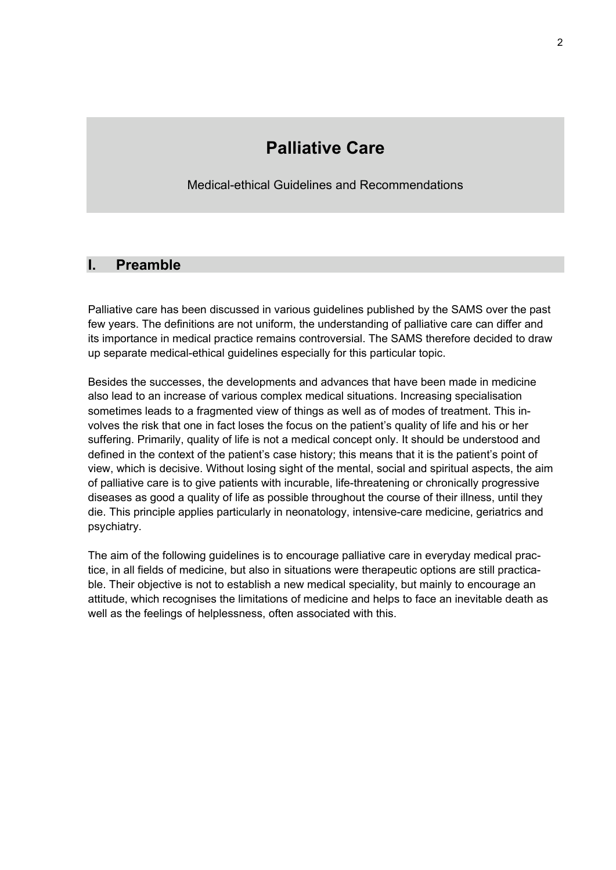# **Palliative Care**

Medical-ethical Guidelines and Recommendations

# **I. Preamble**

Palliative care has been discussed in various guidelines published by the SAMS over the past few years. The definitions are not uniform, the understanding of palliative care can differ and its importance in medical practice remains controversial. The SAMS therefore decided to draw up separate medical-ethical guidelines especially for this particular topic.

Besides the successes, the developments and advances that have been made in medicine also lead to an increase of various complex medical situations. Increasing specialisation sometimes leads to a fragmented view of things as well as of modes of treatment. This involves the risk that one in fact loses the focus on the patient's quality of life and his or her suffering. Primarily, quality of life is not a medical concept only. It should be understood and defined in the context of the patient's case history; this means that it is the patient's point of view, which is decisive. Without losing sight of the mental, social and spiritual aspects, the aim of palliative care is to give patients with incurable, life-threatening or chronically progressive diseases as good a quality of life as possible throughout the course of their illness, until they die. This principle applies particularly in neonatology, intensive-care medicine, geriatrics and psychiatry.

The aim of the following guidelines is to encourage palliative care in everyday medical practice, in all fields of medicine, but also in situations were therapeutic options are still practicable. Their objective is not to establish a new medical speciality, but mainly to encourage an attitude, which recognises the limitations of medicine and helps to face an inevitable death as well as the feelings of helplessness, often associated with this.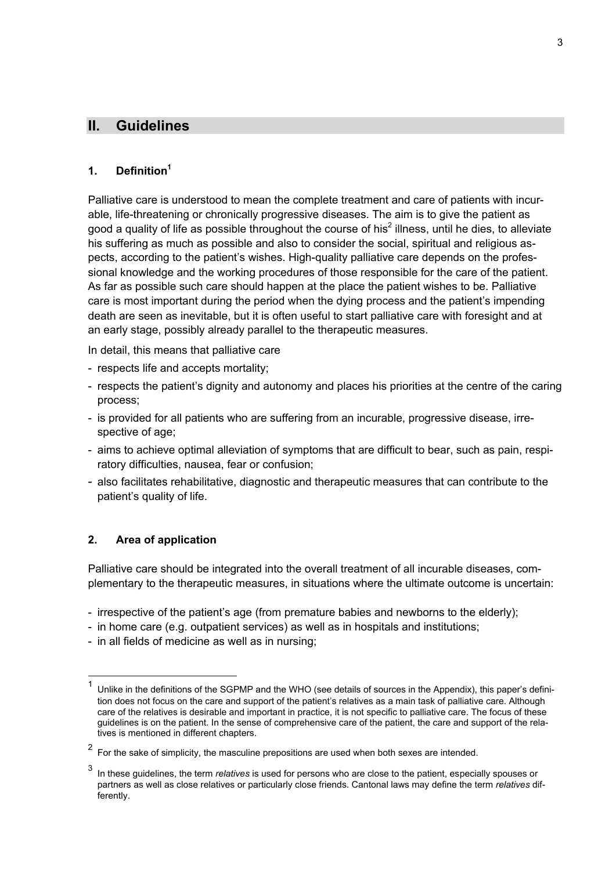# **II. Guidelines**

#### **1. Definition1**

Palliative care is understood to mean the complete treatment and care of patients with incurable, life-threatening or chronically progressive diseases. The aim is to give the patient as good a quality of life as possible throughout the course of his<sup>2</sup> illness, until he dies, to alleviate his suffering as much as possible and also to consider the social, spiritual and religious aspects, according to the patient's wishes. High-quality palliative care depends on the professional knowledge and the working procedures of those responsible for the care of the patient. As far as possible such care should happen at the place the patient wishes to be. Palliative care is most important during the period when the dying process and the patient's impending death are seen as inevitable, but it is often useful to start palliative care with foresight and at an early stage, possibly already parallel to the therapeutic measures.

In detail, this means that palliative care

- respects life and accepts mortality;
- respects the patient's dignity and autonomy and places his priorities at the centre of the caring process;
- is provided for all patients who are suffering from an incurable, progressive disease, irrespective of age;
- aims to achieve optimal alleviation of symptoms that are difficult to bear, such as pain, respiratory difficulties, nausea, fear or confusion;
- also facilitates rehabilitative, diagnostic and therapeutic measures that can contribute to the patient's quality of life.

#### **2. Area of application**

Palliative care should be integrated into the overall treatment of all incurable diseases, complementary to the therapeutic measures, in situations where the ultimate outcome is uncertain:

- irrespective of the patient's age (from premature babies and newborns to the elderly);
- in home care (e.g. outpatient services) as well as in hospitals and institutions;
- in all fields of medicine as well as in nursing;

 $1$  Unlike in the definitions of the SGPMP and the WHO (see details of sources in the Appendix), this paper's definition does not focus on the care and support of the patient's relatives as a main task of palliative care. Although care of the relatives is desirable and important in practice, it is not specific to palliative care. The focus of these guidelines is on the patient. In the sense of comprehensive care of the patient, the care and support of the relatives is mentioned in different chapters.

 $2$  For the sake of simplicity, the masculine prepositions are used when both sexes are intended.

<sup>3</sup> In these guidelines, the term *relatives* is used for persons who are close to the patient, especially spouses or partners as well as close relatives or particularly close friends. Cantonal laws may define the term *relatives* differently.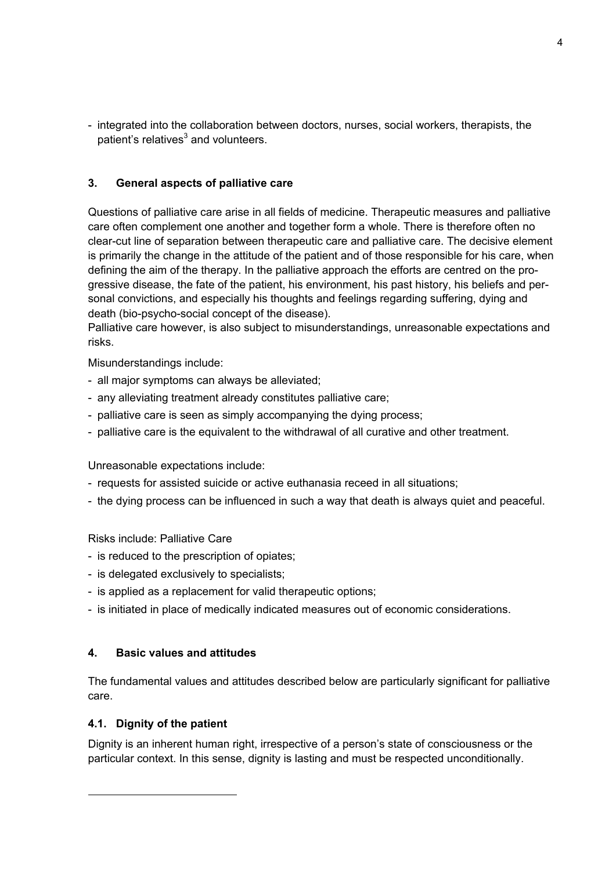- integrated into the collaboration between doctors, nurses, social workers, therapists, the patient's relatives $^3$  and volunteers.

#### **3. General aspects of palliative care**

Questions of palliative care arise in all fields of medicine. Therapeutic measures and palliative care often complement one another and together form a whole. There is therefore often no clear-cut line of separation between therapeutic care and palliative care. The decisive element is primarily the change in the attitude of the patient and of those responsible for his care, when defining the aim of the therapy. In the palliative approach the efforts are centred on the progressive disease, the fate of the patient, his environment, his past history, his beliefs and personal convictions, and especially his thoughts and feelings regarding suffering, dying and death (bio-psycho-social concept of the disease).

Palliative care however, is also subject to misunderstandings, unreasonable expectations and risks.

Misunderstandings include:

- all major symptoms can always be alleviated;
- any alleviating treatment already constitutes palliative care;
- palliative care is seen as simply accompanying the dying process;
- palliative care is the equivalent to the withdrawal of all curative and other treatment.

Unreasonable expectations include:

- requests for assisted suicide or active euthanasia receed in all situations;
- the dying process can be influenced in such a way that death is always quiet and peaceful.

Risks include: Palliative Care

- is reduced to the prescription of opiates;
- is delegated exclusively to specialists;
- is applied as a replacement for valid therapeutic options;
- is initiated in place of medically indicated measures out of economic considerations.

#### **4. Basic values and attitudes**

The fundamental values and attitudes described below are particularly significant for palliative care.

#### **4.1. Dignity of the patient**

<u>.</u>

Dignity is an inherent human right, irrespective of a person's state of consciousness or the particular context. In this sense, dignity is lasting and must be respected unconditionally.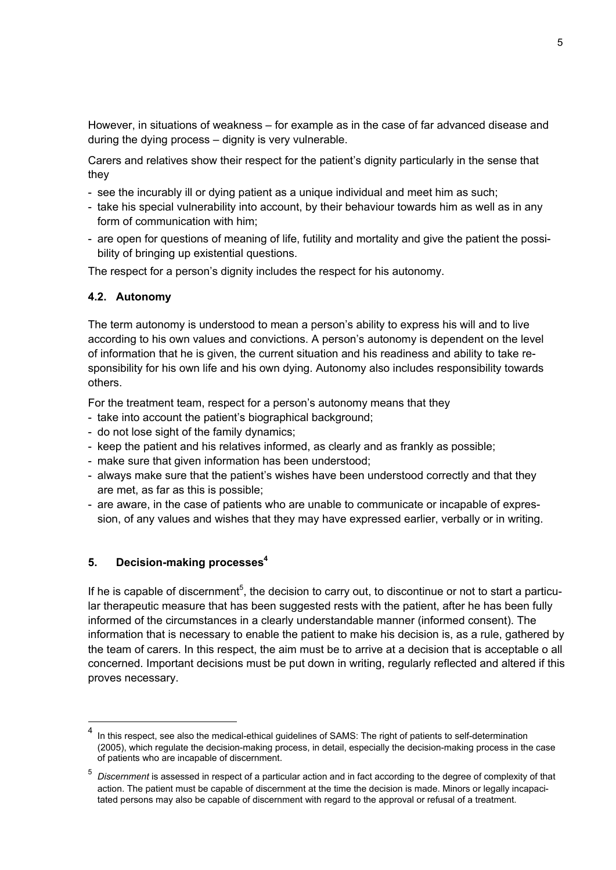However, in situations of weakness – for example as in the case of far advanced disease and during the dying process – dignity is very vulnerable.

Carers and relatives show their respect for the patient's dignity particularly in the sense that they

- see the incurably ill or dying patient as a unique individual and meet him as such;
- take his special vulnerability into account, by their behaviour towards him as well as in any form of communication with him;
- are open for questions of meaning of life, futility and mortality and give the patient the possibility of bringing up existential questions.

The respect for a person's dignity includes the respect for his autonomy.

#### **4.2. Autonomy**

The term autonomy is understood to mean a person's ability to express his will and to live according to his own values and convictions. A person's autonomy is dependent on the level of information that he is given, the current situation and his readiness and ability to take responsibility for his own life and his own dying. Autonomy also includes responsibility towards others.

For the treatment team, respect for a person's autonomy means that they

- take into account the patient's biographical background;
- do not lose sight of the family dynamics;
- keep the patient and his relatives informed, as clearly and as frankly as possible;
- make sure that given information has been understood;
- always make sure that the patient's wishes have been understood correctly and that they are met, as far as this is possible;
- are aware, in the case of patients who are unable to communicate or incapable of expression, of any values and wishes that they may have expressed earlier, verbally or in writing.

#### **5. Decision-making processes4**

If he is capable of discernment<sup>5</sup>, the decision to carry out, to discontinue or not to start a particular therapeutic measure that has been suggested rests with the patient, after he has been fully informed of the circumstances in a clearly understandable manner (informed consent). The information that is necessary to enable the patient to make his decision is, as a rule, gathered by the team of carers. In this respect, the aim must be to arrive at a decision that is acceptable o all concerned. Important decisions must be put down in writing, regularly reflected and altered if this proves necessary.

In this respect, see also the medical-ethical guidelines of SAMS: The right of patients to self-determination (2005), which regulate the decision-making process, in detail, especially the decision-making process in the case of patients who are incapable of discernment.

<sup>5</sup> *Discernment* is assessed in respect of a particular action and in fact according to the degree of complexity of that action. The patient must be capable of discernment at the time the decision is made. Minors or legally incapacitated persons may also be capable of discernment with regard to the approval or refusal of a treatment.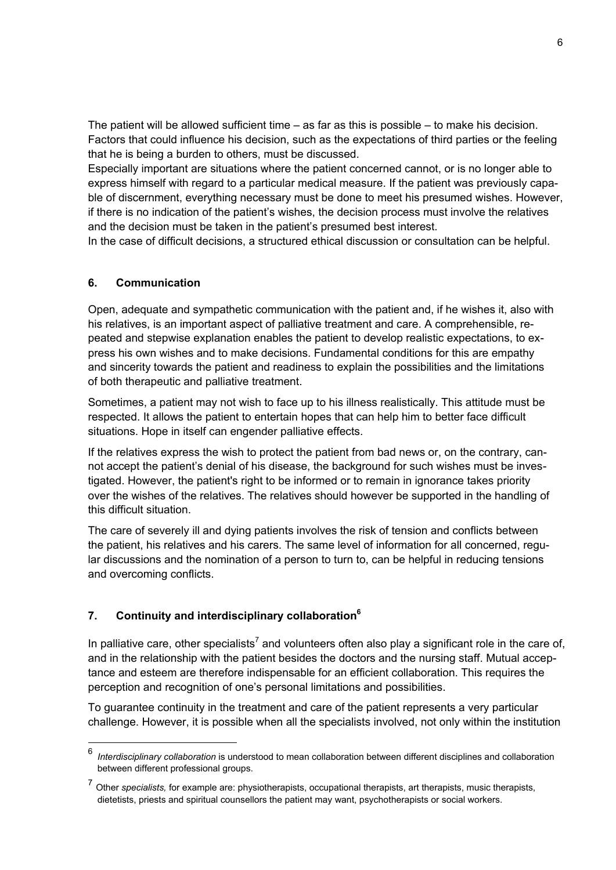The patient will be allowed sufficient time – as far as this is possible – to make his decision. Factors that could influence his decision, such as the expectations of third parties or the feeling that he is being a burden to others, must be discussed.

Especially important are situations where the patient concerned cannot, or is no longer able to express himself with regard to a particular medical measure. If the patient was previously capable of discernment, everything necessary must be done to meet his presumed wishes. However, if there is no indication of the patient's wishes, the decision process must involve the relatives and the decision must be taken in the patient's presumed best interest.

In the case of difficult decisions, a structured ethical discussion or consultation can be helpful.

#### **6. Communication**

Open, adequate and sympathetic communication with the patient and, if he wishes it, also with his relatives, is an important aspect of palliative treatment and care. A comprehensible, repeated and stepwise explanation enables the patient to develop realistic expectations, to express his own wishes and to make decisions. Fundamental conditions for this are empathy and sincerity towards the patient and readiness to explain the possibilities and the limitations of both therapeutic and palliative treatment.

Sometimes, a patient may not wish to face up to his illness realistically. This attitude must be respected. It allows the patient to entertain hopes that can help him to better face difficult situations. Hope in itself can engender palliative effects.

If the relatives express the wish to protect the patient from bad news or, on the contrary, cannot accept the patient's denial of his disease, the background for such wishes must be investigated. However, the patient's right to be informed or to remain in ignorance takes priority over the wishes of the relatives. The relatives should however be supported in the handling of this difficult situation.

The care of severely ill and dying patients involves the risk of tension and conflicts between the patient, his relatives and his carers. The same level of information for all concerned, regular discussions and the nomination of a person to turn to, can be helpful in reducing tensions and overcoming conflicts.

#### **7. Continuity and interdisciplinary collaboration6**

In palliative care, other specialists<sup>7</sup> and volunteers often also play a significant role in the care of, and in the relationship with the patient besides the doctors and the nursing staff. Mutual acceptance and esteem are therefore indispensable for an efficient collaboration. This requires the perception and recognition of one's personal limitations and possibilities.

To guarantee continuity in the treatment and care of the patient represents a very particular challenge. However, it is possible when all the specialists involved, not only within the institution

 <sup>6</sup> *Interdisciplinary collaboration* is understood to mean collaboration between different disciplines and collaboration between different professional groups.

<sup>7</sup> Other *specialists,* for example are: physiotherapists, occupational therapists, art therapists, music therapists, dietetists, priests and spiritual counsellors the patient may want, psychotherapists or social workers.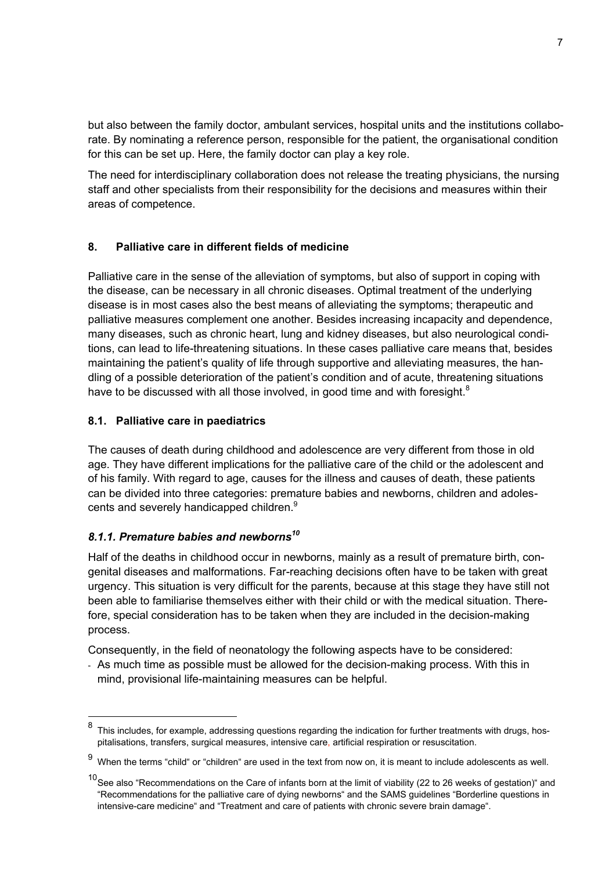but also between the family doctor, ambulant services, hospital units and the institutions collaborate. By nominating a reference person, responsible for the patient, the organisational condition for this can be set up. Here, the family doctor can play a key role.

The need for interdisciplinary collaboration does not release the treating physicians, the nursing staff and other specialists from their responsibility for the decisions and measures within their areas of competence.

# **8. Palliative care in different fields of medicine**

Palliative care in the sense of the alleviation of symptoms, but also of support in coping with the disease, can be necessary in all chronic diseases. Optimal treatment of the underlying disease is in most cases also the best means of alleviating the symptoms; therapeutic and palliative measures complement one another. Besides increasing incapacity and dependence, many diseases, such as chronic heart, lung and kidney diseases, but also neurological conditions, can lead to life-threatening situations. In these cases palliative care means that, besides maintaining the patient's quality of life through supportive and alleviating measures, the handling of a possible deterioration of the patient's condition and of acute, threatening situations have to be discussed with all those involved, in good time and with foresight. $8$ 

#### **8.1. Palliative care in paediatrics**

The causes of death during childhood and adolescence are very different from those in old age. They have different implications for the palliative care of the child or the adolescent and of his family. With regard to age, causes for the illness and causes of death, these patients can be divided into three categories: premature babies and newborns, children and adolescents and severely handicapped children.<sup>9</sup>

# *8.1.1. Premature babies and newborns10*

Half of the deaths in childhood occur in newborns, mainly as a result of premature birth, congenital diseases and malformations. Far-reaching decisions often have to be taken with great urgency. This situation is very difficult for the parents, because at this stage they have still not been able to familiarise themselves either with their child or with the medical situation. Therefore, special consideration has to be taken when they are included in the decision-making process.

Consequently, in the field of neonatology the following aspects have to be considered:

- As much time as possible must be allowed for the decision-making process. With this in mind, provisional life-maintaining measures can be helpful.

 $8$  This includes, for example, addressing questions regarding the indication for further treatments with drugs, hospitalisations, transfers, surgical measures, intensive care, artificial respiration or resuscitation.

 $9$  When the terms "child" or "children" are used in the text from now on, it is meant to include adolescents as well.

<sup>&</sup>lt;sup>10</sup> See also "Recommendations on the Care of infants born at the limit of viability (22 to 26 weeks of gestation)" and "Recommendations for the palliative care of dying newborns" and the SAMS guidelines "Borderline questions in intensive-care medicine" and "Treatment and care of patients with chronic severe brain damage".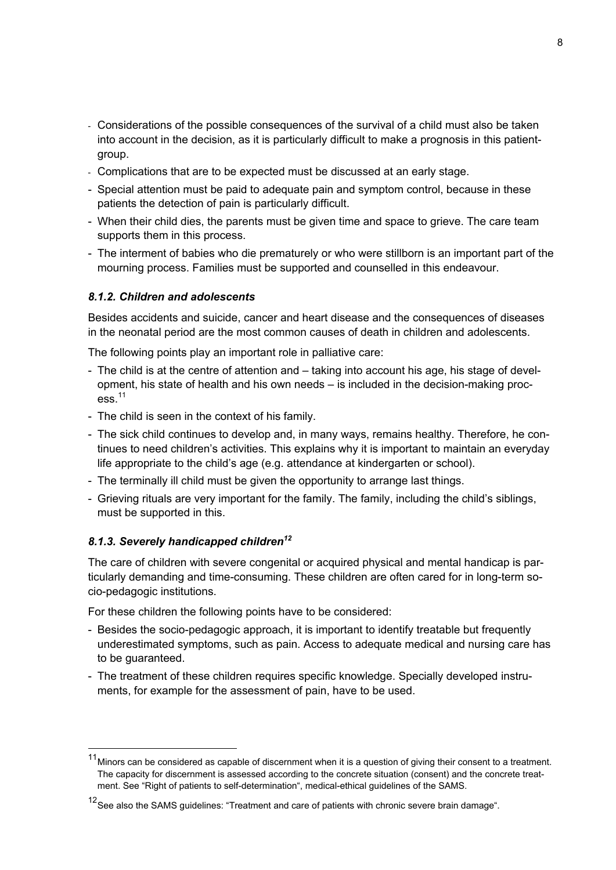- Considerations of the possible consequences of the survival of a child must also be taken into account in the decision, as it is particularly difficult to make a prognosis in this patientgroup.
- Complications that are to be expected must be discussed at an early stage.
- Special attention must be paid to adequate pain and symptom control, because in these patients the detection of pain is particularly difficult.
- When their child dies, the parents must be given time and space to grieve. The care team supports them in this process.
- The interment of babies who die prematurely or who were stillborn is an important part of the mourning process. Families must be supported and counselled in this endeavour.

#### *8.1.2. Children and adolescents*

Besides accidents and suicide, cancer and heart disease and the consequences of diseases in the neonatal period are the most common causes of death in children and adolescents.

The following points play an important role in palliative care:

- The child is at the centre of attention and taking into account his age, his stage of development, his state of health and his own needs – is included in the decision-making proc- $\text{ess}$ <sup>11</sup>
- The child is seen in the context of his family.
- The sick child continues to develop and, in many ways, remains healthy. Therefore, he continues to need children's activities. This explains why it is important to maintain an everyday life appropriate to the child's age (e.g. attendance at kindergarten or school).
- The terminally ill child must be given the opportunity to arrange last things.
- Grieving rituals are very important for the family. The family, including the child's siblings, must be supported in this.

#### *8.1.3. Severely handicapped children<sup>12</sup>*

The care of children with severe congenital or acquired physical and mental handicap is particularly demanding and time-consuming. These children are often cared for in long-term socio-pedagogic institutions.

For these children the following points have to be considered:

- Besides the socio-pedagogic approach, it is important to identify treatable but frequently underestimated symptoms, such as pain. Access to adequate medical and nursing care has to be guaranteed.
- The treatment of these children requires specific knowledge. Specially developed instruments, for example for the assessment of pain, have to be used.

 <sup>11</sup> Minors can be considered as capable of discernment when it is a question of giving their consent to a treatment. The capacity for discernment is assessed according to the concrete situation (consent) and the concrete treatment. See "Right of patients to self-determination", medical-ethical guidelines of the SAMS.

<sup>&</sup>lt;sup>12</sup> See also the SAMS guidelines: "Treatment and care of patients with chronic severe brain damage".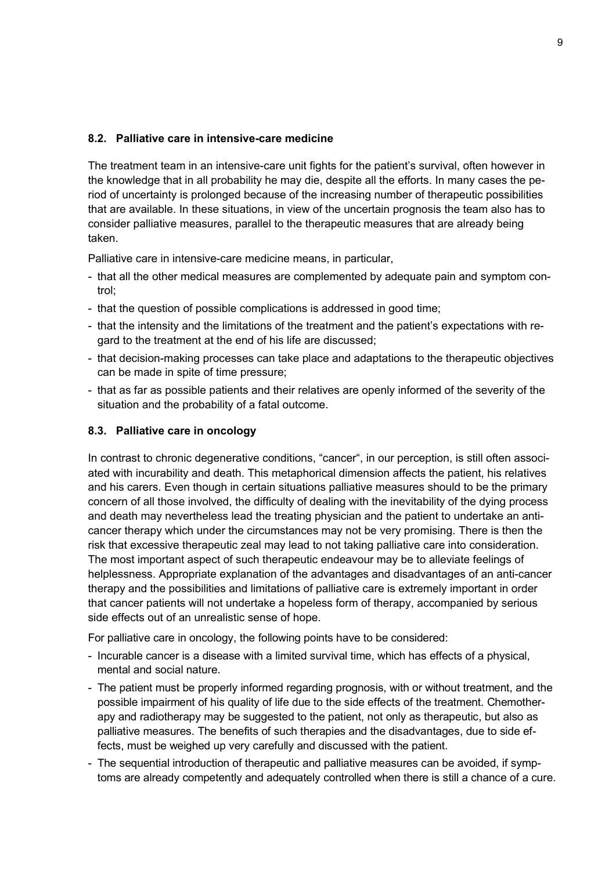#### **8.2. Palliative care in intensive-care medicine**

The treatment team in an intensive-care unit fights for the patient's survival, often however in the knowledge that in all probability he may die, despite all the efforts. In many cases the period of uncertainty is prolonged because of the increasing number of therapeutic possibilities that are available. In these situations, in view of the uncertain prognosis the team also has to consider palliative measures, parallel to the therapeutic measures that are already being taken.

Palliative care in intensive-care medicine means, in particular,

- that all the other medical measures are complemented by adequate pain and symptom control;
- that the question of possible complications is addressed in good time;
- that the intensity and the limitations of the treatment and the patient's expectations with regard to the treatment at the end of his life are discussed;
- that decision-making processes can take place and adaptations to the therapeutic objectives can be made in spite of time pressure;
- that as far as possible patients and their relatives are openly informed of the severity of the situation and the probability of a fatal outcome.

#### **8.3. Palliative care in oncology**

In contrast to chronic degenerative conditions, "cancer", in our perception, is still often associated with incurability and death. This metaphorical dimension affects the patient, his relatives and his carers. Even though in certain situations palliative measures should to be the primary concern of all those involved, the difficulty of dealing with the inevitability of the dying process and death may nevertheless lead the treating physician and the patient to undertake an anticancer therapy which under the circumstances may not be very promising. There is then the risk that excessive therapeutic zeal may lead to not taking palliative care into consideration. The most important aspect of such therapeutic endeavour may be to alleviate feelings of helplessness. Appropriate explanation of the advantages and disadvantages of an anti-cancer therapy and the possibilities and limitations of palliative care is extremely important in order that cancer patients will not undertake a hopeless form of therapy, accompanied by serious side effects out of an unrealistic sense of hope.

For palliative care in oncology, the following points have to be considered:

- Incurable cancer is a disease with a limited survival time, which has effects of a physical, mental and social nature.
- The patient must be properly informed regarding prognosis, with or without treatment, and the possible impairment of his quality of life due to the side effects of the treatment. Chemotherapy and radiotherapy may be suggested to the patient, not only as therapeutic, but also as palliative measures. The benefits of such therapies and the disadvantages, due to side effects, must be weighed up very carefully and discussed with the patient.
- The sequential introduction of therapeutic and palliative measures can be avoided, if symptoms are already competently and adequately controlled when there is still a chance of a cure.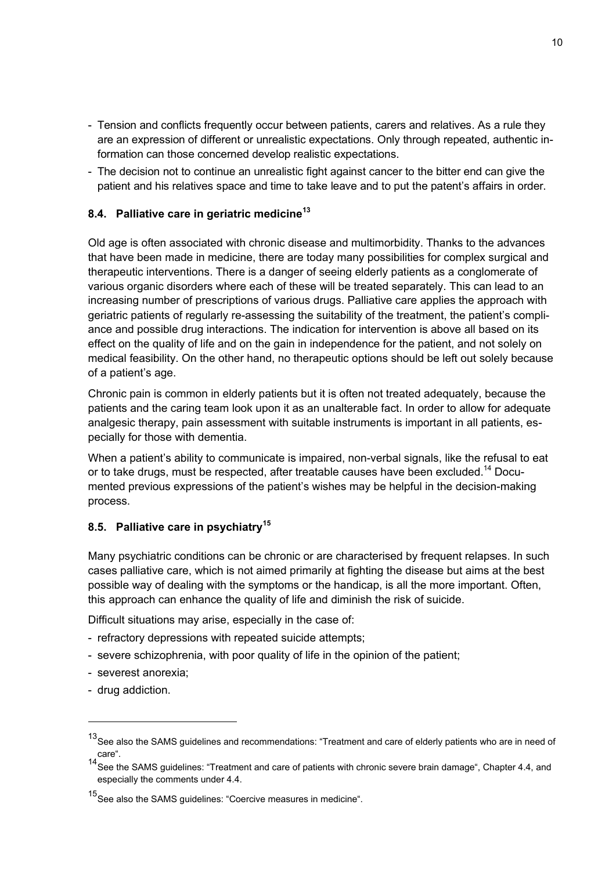- Tension and conflicts frequently occur between patients, carers and relatives. As a rule they are an expression of different or unrealistic expectations. Only through repeated, authentic information can those concerned develop realistic expectations.
- The decision not to continue an unrealistic fight against cancer to the bitter end can give the patient and his relatives space and time to take leave and to put the patent's affairs in order.

### **8.4. Palliative care in geriatric medicine<sup>13</sup>**

Old age is often associated with chronic disease and multimorbidity. Thanks to the advances that have been made in medicine, there are today many possibilities for complex surgical and therapeutic interventions. There is a danger of seeing elderly patients as a conglomerate of various organic disorders where each of these will be treated separately. This can lead to an increasing number of prescriptions of various drugs. Palliative care applies the approach with geriatric patients of regularly re-assessing the suitability of the treatment, the patient's compliance and possible drug interactions. The indication for intervention is above all based on its effect on the quality of life and on the gain in independence for the patient, and not solely on medical feasibility. On the other hand, no therapeutic options should be left out solely because of a patient's age.

Chronic pain is common in elderly patients but it is often not treated adequately, because the patients and the caring team look upon it as an unalterable fact. In order to allow for adequate analgesic therapy, pain assessment with suitable instruments is important in all patients, especially for those with dementia.

When a patient's ability to communicate is impaired, non-verbal signals, like the refusal to eat or to take drugs, must be respected, after treatable causes have been excluded.<sup>14</sup> Documented previous expressions of the patient's wishes may be helpful in the decision-making process.

### **8.5. Palliative care in psychiatry<sup>15</sup>**

Many psychiatric conditions can be chronic or are characterised by frequent relapses. In such cases palliative care, which is not aimed primarily at fighting the disease but aims at the best possible way of dealing with the symptoms or the handicap, is all the more important. Often, this approach can enhance the quality of life and diminish the risk of suicide.

Difficult situations may arise, especially in the case of:

- refractory depressions with repeated suicide attempts;
- severe schizophrenia, with poor quality of life in the opinion of the patient;
- severest anorexia;
- drug addiction.

1

<sup>13</sup> See also the SAMS guidelines and recommendations: "Treatment and care of elderly patients who are in need of care".

<sup>&</sup>lt;sup>14</sup> See the SAMS guidelines: "Treatment and care of patients with chronic severe brain damage", Chapter 4.4, and especially the comments under 4.4.

<sup>15</sup> See also the SAMS guidelines: "Coercive measures in medicine".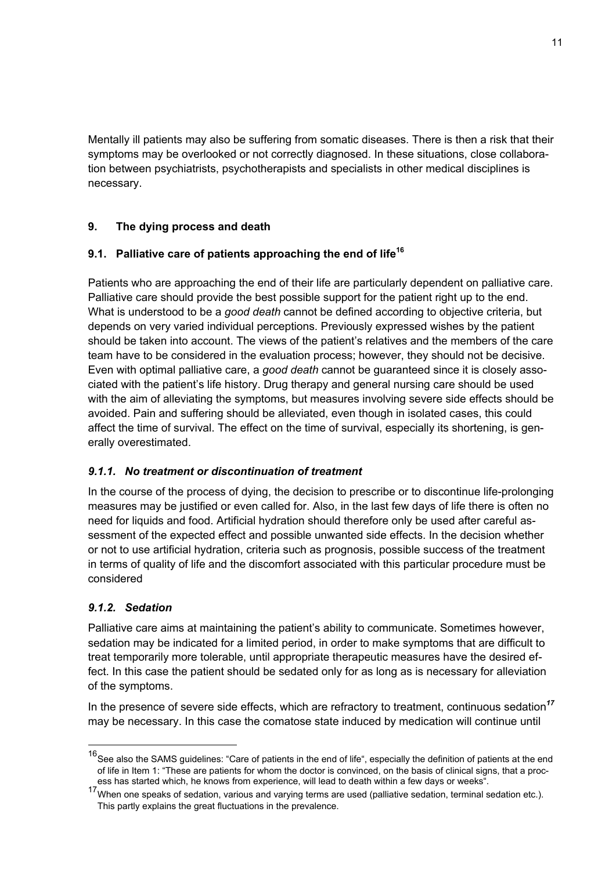Mentally ill patients may also be suffering from somatic diseases. There is then a risk that their symptoms may be overlooked or not correctly diagnosed. In these situations, close collaboration between psychiatrists, psychotherapists and specialists in other medical disciplines is necessary.

# **9. The dying process and death**

# **9.1. Palliative care of patients approaching the end of life<sup>16</sup>**

Patients who are approaching the end of their life are particularly dependent on palliative care. Palliative care should provide the best possible support for the patient right up to the end. What is understood to be a *good death* cannot be defined according to objective criteria, but depends on very varied individual perceptions. Previously expressed wishes by the patient should be taken into account. The views of the patient's relatives and the members of the care team have to be considered in the evaluation process; however, they should not be decisive. Even with optimal palliative care, a *good death* cannot be guaranteed since it is closely associated with the patient's life history. Drug therapy and general nursing care should be used with the aim of alleviating the symptoms, but measures involving severe side effects should be avoided. Pain and suffering should be alleviated, even though in isolated cases, this could affect the time of survival. The effect on the time of survival, especially its shortening, is generally overestimated.

# *9.1.1. No treatment or discontinuation of treatment*

In the course of the process of dying, the decision to prescribe or to discontinue life-prolonging measures may be justified or even called for. Also, in the last few days of life there is often no need for liquids and food. Artificial hydration should therefore only be used after careful assessment of the expected effect and possible unwanted side effects. In the decision whether or not to use artificial hydration, criteria such as prognosis, possible success of the treatment in terms of quality of life and the discomfort associated with this particular procedure must be considered

# *9.1.2. Sedation*

Palliative care aims at maintaining the patient's ability to communicate. Sometimes however, sedation may be indicated for a limited period, in order to make symptoms that are difficult to treat temporarily more tolerable, until appropriate therapeutic measures have the desired effect. In this case the patient should be sedated only for as long as is necessary for alleviation of the symptoms.

In the presence of severe side effects, which are refractory to treatment, continuous sedation*<sup>17</sup>* may be necessary. In this case the comatose state induced by medication will continue until

 <sup>16</sup> See also the SAMS guidelines: "Care of patients in the end of life", especially the definition of patients at the end of life in Item 1: "These are patients for whom the doctor is convinced, on the basis of clinical signs, that a proc-<br>ess has started which, he knows from experience, will lead to death within a few days or weeks".

ess has started which, he knows from experience, will lead to death within a few days or weeks".<br><sup>17</sup> When one speaks of sedation, various and varying terms are used (palliative sedation, terminal sedation etc.). This partly explains the great fluctuations in the prevalence.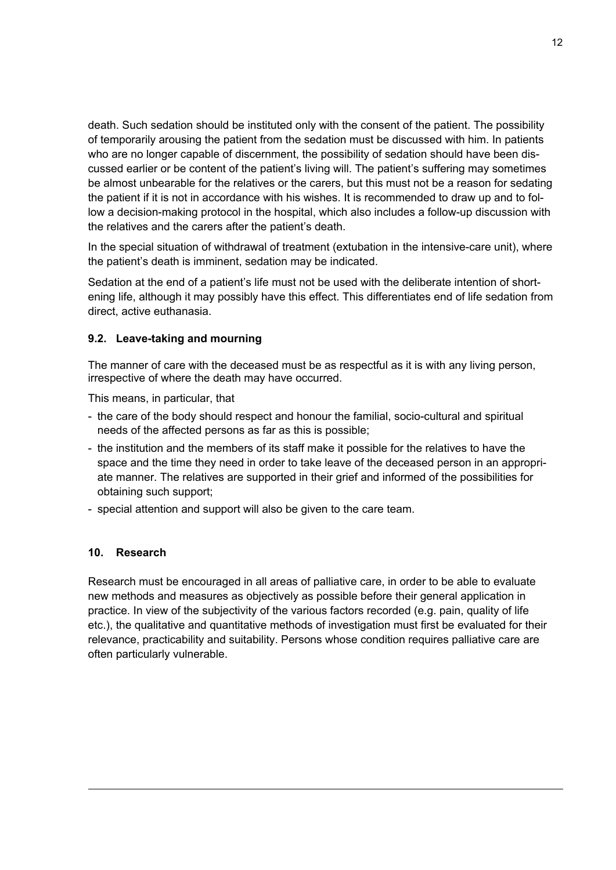death. Such sedation should be instituted only with the consent of the patient. The possibility of temporarily arousing the patient from the sedation must be discussed with him. In patients who are no longer capable of discernment, the possibility of sedation should have been discussed earlier or be content of the patient's living will. The patient's suffering may sometimes be almost unbearable for the relatives or the carers, but this must not be a reason for sedating the patient if it is not in accordance with his wishes. It is recommended to draw up and to follow a decision-making protocol in the hospital, which also includes a follow-up discussion with the relatives and the carers after the patient's death.

In the special situation of withdrawal of treatment (extubation in the intensive-care unit), where the patient's death is imminent, sedation may be indicated.

Sedation at the end of a patient's life must not be used with the deliberate intention of shortening life, although it may possibly have this effect. This differentiates end of life sedation from direct, active euthanasia.

#### **9.2. Leave-taking and mourning**

The manner of care with the deceased must be as respectful as it is with any living person, irrespective of where the death may have occurred.

This means, in particular, that

- the care of the body should respect and honour the familial, socio-cultural and spiritual needs of the affected persons as far as this is possible;
- the institution and the members of its staff make it possible for the relatives to have the space and the time they need in order to take leave of the deceased person in an appropriate manner. The relatives are supported in their grief and informed of the possibilities for obtaining such support;
- special attention and support will also be given to the care team.

#### **10. Research**

1

Research must be encouraged in all areas of palliative care, in order to be able to evaluate new methods and measures as objectively as possible before their general application in practice. In view of the subjectivity of the various factors recorded (e.g. pain, quality of life etc.), the qualitative and quantitative methods of investigation must first be evaluated for their relevance, practicability and suitability. Persons whose condition requires palliative care are often particularly vulnerable.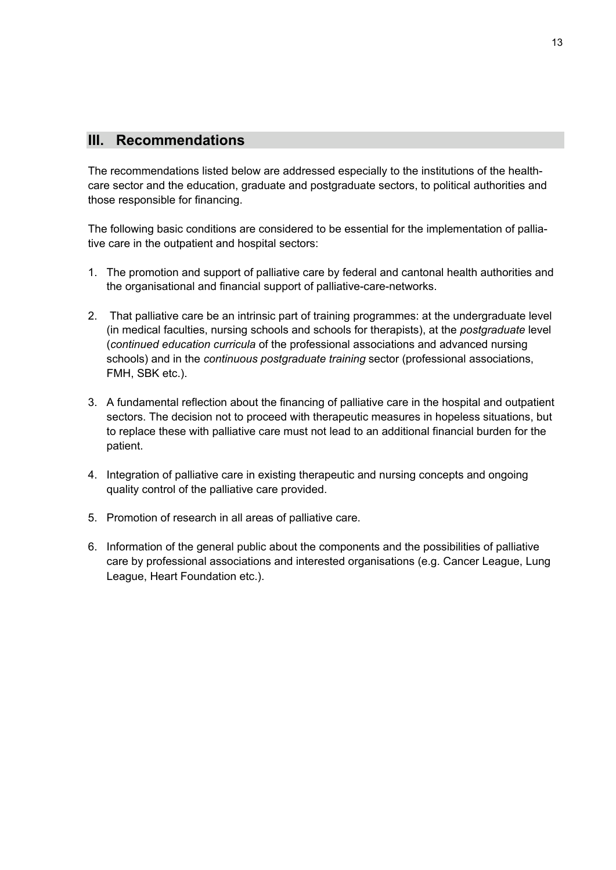# **III. Recommendations**

The recommendations listed below are addressed especially to the institutions of the healthcare sector and the education, graduate and postgraduate sectors, to political authorities and those responsible for financing.

The following basic conditions are considered to be essential for the implementation of palliative care in the outpatient and hospital sectors:

- 1. The promotion and support of palliative care by federal and cantonal health authorities and the organisational and financial support of palliative-care-networks.
- 2. That palliative care be an intrinsic part of training programmes: at the undergraduate level (in medical faculties, nursing schools and schools for therapists), at the *postgraduate* level (*continued education curricula* of the professional associations and advanced nursing schools) and in the *continuous postgraduate training* sector (professional associations, FMH, SBK etc.).
- 3. A fundamental reflection about the financing of palliative care in the hospital and outpatient sectors. The decision not to proceed with therapeutic measures in hopeless situations, but to replace these with palliative care must not lead to an additional financial burden for the patient.
- 4. Integration of palliative care in existing therapeutic and nursing concepts and ongoing quality control of the palliative care provided.
- 5. Promotion of research in all areas of palliative care.
- 6. Information of the general public about the components and the possibilities of palliative care by professional associations and interested organisations (e.g. Cancer League, Lung League, Heart Foundation etc.).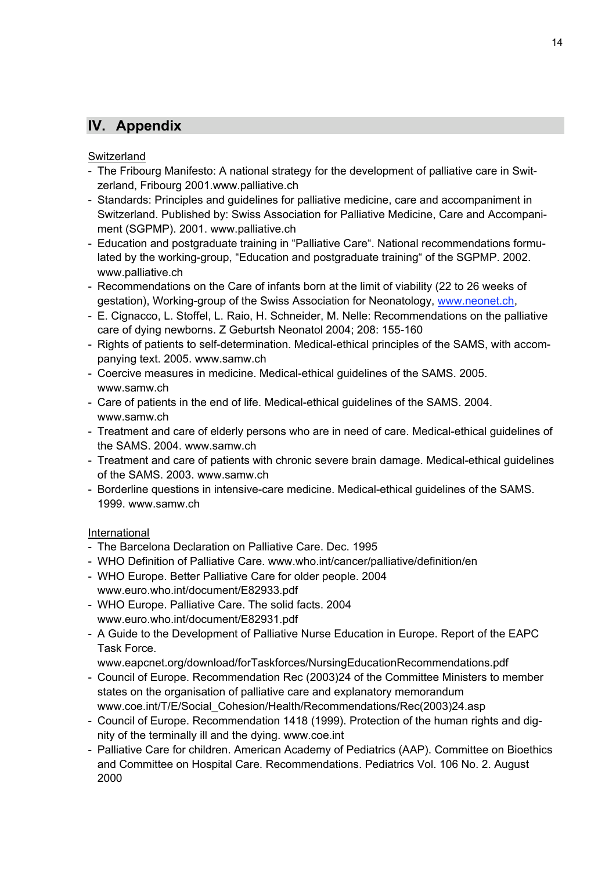# **IV. Appendix**

### **Switzerland**

- The Fribourg Manifesto: A national strategy for the development of palliative care in Switzerland, Fribourg 2001.www.palliative.ch
- Standards: Principles and guidelines for palliative medicine, care and accompaniment in Switzerland. Published by: Swiss Association for Palliative Medicine, Care and Accompaniment (SGPMP). 2001. www.palliative.ch
- Education and postgraduate training in "Palliative Care". National recommendations formulated by the working-group, "Education and postgraduate training" of the SGPMP. 2002. www.palliative.ch
- Recommendations on the Care of infants born at the limit of viability (22 to 26 weeks of gestation), Working-group of the Swiss Association for Neonatology, www.neonet.ch,
- E. Cignacco, L. Stoffel, L. Raio, H. Schneider, M. Nelle: Recommendations on the palliative care of dying newborns. Z Geburtsh Neonatol 2004; 208: 155-160
- Rights of patients to self-determination. Medical-ethical principles of the SAMS, with accompanying text. 2005. www.samw.ch
- Coercive measures in medicine. Medical-ethical guidelines of the SAMS. 2005. www.samw.ch
- Care of patients in the end of life. Medical-ethical guidelines of the SAMS. 2004. www.samw.ch
- Treatment and care of elderly persons who are in need of care. Medical-ethical guidelines of the SAMS. 2004. www.samw.ch
- Treatment and care of patients with chronic severe brain damage. Medical-ethical guidelines of the SAMS. 2003. www.samw.ch
- Borderline questions in intensive-care medicine. Medical-ethical guidelines of the SAMS. 1999. www.samw.ch

# International

- The Barcelona Declaration on Palliative Care. Dec. 1995
- WHO Definition of Palliative Care. www.who.int/cancer/palliative/definition/en
- WHO Europe. Better Palliative Care for older people. 2004 www.euro.who.int/document/E82933.pdf
- WHO Europe. Palliative Care. The solid facts. 2004 www.euro.who.int/document/E82931.pdf
- A Guide to the Development of Palliative Nurse Education in Europe. Report of the EAPC Task Force.
	- www.eapcnet.org/download/forTaskforces/NursingEducationRecommendations.pdf
- Council of Europe. Recommendation Rec (2003)24 of the Committee Ministers to member states on the organisation of palliative care and explanatory memorandum www.coe.int/T/E/Social\_Cohesion/Health/Recommendations/Rec(2003)24.asp
- Council of Europe. Recommendation 1418 (1999). Protection of the human rights and dignity of the terminally ill and the dying. www.coe.int
- Palliative Care for children. American Academy of Pediatrics (AAP). Committee on Bioethics and Committee on Hospital Care. Recommendations. Pediatrics Vol. 106 No. 2. August 2000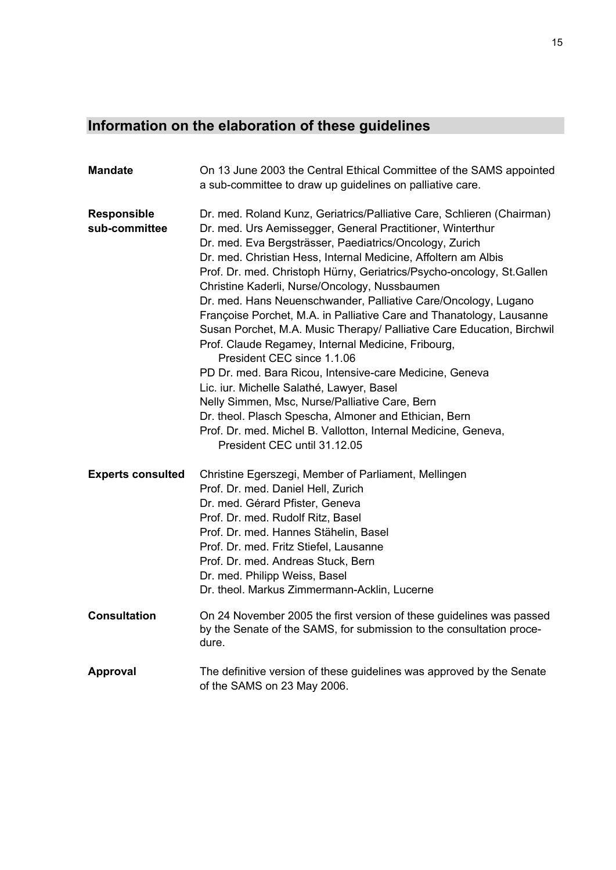# **Information on the elaboration of these guidelines**

| <b>Mandate</b>                      | On 13 June 2003 the Central Ethical Committee of the SAMS appointed<br>a sub-committee to draw up guidelines on palliative care.                                                                                                                                                                                                                                                                                                                                                                                                                                                                                                                                                                                                                                                                                                                                                                                                                                                                                         |
|-------------------------------------|--------------------------------------------------------------------------------------------------------------------------------------------------------------------------------------------------------------------------------------------------------------------------------------------------------------------------------------------------------------------------------------------------------------------------------------------------------------------------------------------------------------------------------------------------------------------------------------------------------------------------------------------------------------------------------------------------------------------------------------------------------------------------------------------------------------------------------------------------------------------------------------------------------------------------------------------------------------------------------------------------------------------------|
| <b>Responsible</b><br>sub-committee | Dr. med. Roland Kunz, Geriatrics/Palliative Care, Schlieren (Chairman)<br>Dr. med. Urs Aemissegger, General Practitioner, Winterthur<br>Dr. med. Eva Bergsträsser, Paediatrics/Oncology, Zurich<br>Dr. med. Christian Hess, Internal Medicine, Affoltern am Albis<br>Prof. Dr. med. Christoph Hürny, Geriatrics/Psycho-oncology, St.Gallen<br>Christine Kaderli, Nurse/Oncology, Nussbaumen<br>Dr. med. Hans Neuenschwander, Palliative Care/Oncology, Lugano<br>Françoise Porchet, M.A. in Palliative Care and Thanatology, Lausanne<br>Susan Porchet, M.A. Music Therapy/ Palliative Care Education, Birchwil<br>Prof. Claude Regamey, Internal Medicine, Fribourg,<br>President CEC since 1.1.06<br>PD Dr. med. Bara Ricou, Intensive-care Medicine, Geneva<br>Lic. iur. Michelle Salathé, Lawyer, Basel<br>Nelly Simmen, Msc, Nurse/Palliative Care, Bern<br>Dr. theol. Plasch Spescha, Almoner and Ethician, Bern<br>Prof. Dr. med. Michel B. Vallotton, Internal Medicine, Geneva,<br>President CEC until 31.12.05 |
| <b>Experts consulted</b>            | Christine Egerszegi, Member of Parliament, Mellingen<br>Prof. Dr. med. Daniel Hell, Zurich<br>Dr. med. Gérard Pfister, Geneva<br>Prof. Dr. med. Rudolf Ritz, Basel<br>Prof. Dr. med. Hannes Stähelin, Basel<br>Prof. Dr. med. Fritz Stiefel, Lausanne<br>Prof. Dr. med. Andreas Stuck, Bern<br>Dr. med. Philipp Weiss, Basel<br>Dr. theol. Markus Zimmermann-Acklin, Lucerne                                                                                                                                                                                                                                                                                                                                                                                                                                                                                                                                                                                                                                             |
| <b>Consultation</b>                 | On 24 November 2005 the first version of these guidelines was passed<br>by the Senate of the SAMS, for submission to the consultation proce-<br>dure.                                                                                                                                                                                                                                                                                                                                                                                                                                                                                                                                                                                                                                                                                                                                                                                                                                                                    |
| Approval                            | The definitive version of these guidelines was approved by the Senate<br>of the SAMS on 23 May 2006.                                                                                                                                                                                                                                                                                                                                                                                                                                                                                                                                                                                                                                                                                                                                                                                                                                                                                                                     |